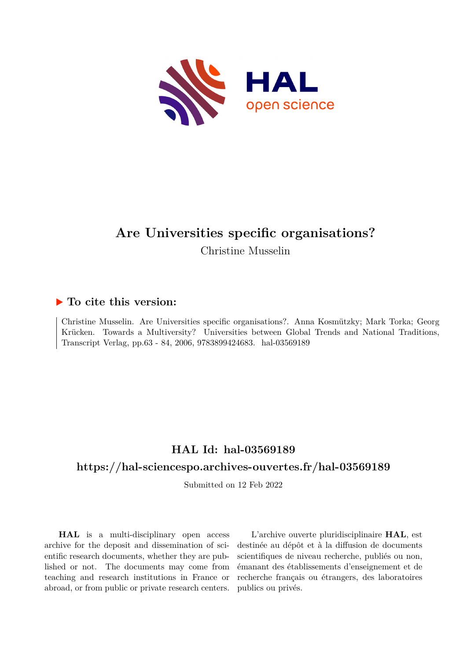

# **Are Universities specific organisations?**

Christine Musselin

## **To cite this version:**

Christine Musselin. Are Universities specific organisations?. Anna Kosmützky; Mark Torka; Georg Krücken. Towards a Multiversity? Universities between Global Trends and National Traditions, Transcript Verlag, pp.63 - 84, 2006, 9783899424683. hal-03569189

## **HAL Id: hal-03569189**

## **<https://hal-sciencespo.archives-ouvertes.fr/hal-03569189>**

Submitted on 12 Feb 2022

**HAL** is a multi-disciplinary open access archive for the deposit and dissemination of scientific research documents, whether they are published or not. The documents may come from teaching and research institutions in France or abroad, or from public or private research centers.

L'archive ouverte pluridisciplinaire **HAL**, est destinée au dépôt et à la diffusion de documents scientifiques de niveau recherche, publiés ou non, émanant des établissements d'enseignement et de recherche français ou étrangers, des laboratoires publics ou privés.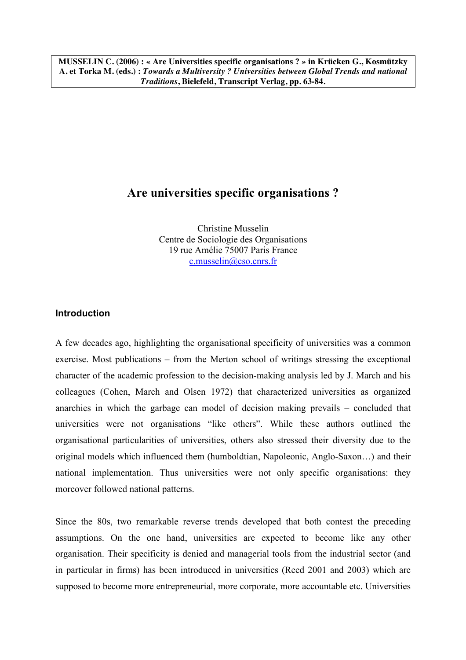**MUSSELIN C. (2006) : « Are Universities specific organisations ? » in Krücken G., Kosmützky A. et Torka M. (eds.) :** *Towards a Multiversity ? Universities between Global Trends and national Traditions***, Bielefeld, Transcript Verlag, pp. 63-84.**

# **Are universities specific organisations ?**

Christine Musselin Centre de Sociologie des Organisations 19 rue Amélie 75007 Paris France c.musselin@cso.cnrs.fr

### **Introduction**

A few decades ago, highlighting the organisational specificity of universities was a common exercise. Most publications – from the Merton school of writings stressing the exceptional character of the academic profession to the decision-making analysis led by J. March and his colleagues (Cohen, March and Olsen 1972) that characterized universities as organized anarchies in which the garbage can model of decision making prevails – concluded that universities were not organisations "like others". While these authors outlined the organisational particularities of universities, others also stressed their diversity due to the original models which influenced them (humboldtian, Napoleonic, Anglo-Saxon…) and their national implementation. Thus universities were not only specific organisations: they moreover followed national patterns.

Since the 80s, two remarkable reverse trends developed that both contest the preceding assumptions. On the one hand, universities are expected to become like any other organisation. Their specificity is denied and managerial tools from the industrial sector (and in particular in firms) has been introduced in universities (Reed 2001 and 2003) which are supposed to become more entrepreneurial, more corporate, more accountable etc. Universities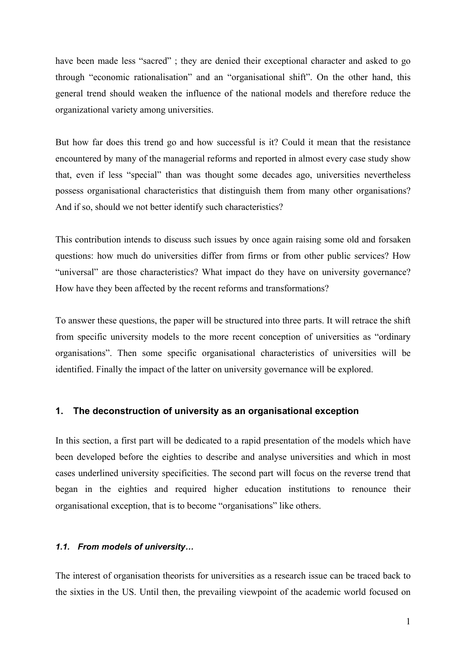have been made less "sacred"; they are denied their exceptional character and asked to go through "economic rationalisation" and an "organisational shift". On the other hand, this general trend should weaken the influence of the national models and therefore reduce the organizational variety among universities.

But how far does this trend go and how successful is it? Could it mean that the resistance encountered by many of the managerial reforms and reported in almost every case study show that, even if less "special" than was thought some decades ago, universities nevertheless possess organisational characteristics that distinguish them from many other organisations? And if so, should we not better identify such characteristics?

This contribution intends to discuss such issues by once again raising some old and forsaken questions: how much do universities differ from firms or from other public services? How "universal" are those characteristics? What impact do they have on university governance? How have they been affected by the recent reforms and transformations?

To answer these questions, the paper will be structured into three parts. It will retrace the shift from specific university models to the more recent conception of universities as "ordinary organisations". Then some specific organisational characteristics of universities will be identified. Finally the impact of the latter on university governance will be explored.

#### **1. The deconstruction of university as an organisational exception**

In this section, a first part will be dedicated to a rapid presentation of the models which have been developed before the eighties to describe and analyse universities and which in most cases underlined university specificities. The second part will focus on the reverse trend that began in the eighties and required higher education institutions to renounce their organisational exception, that is to become "organisations" like others.

#### *1.1. From models of university…*

The interest of organisation theorists for universities as a research issue can be traced back to the sixties in the US. Until then, the prevailing viewpoint of the academic world focused on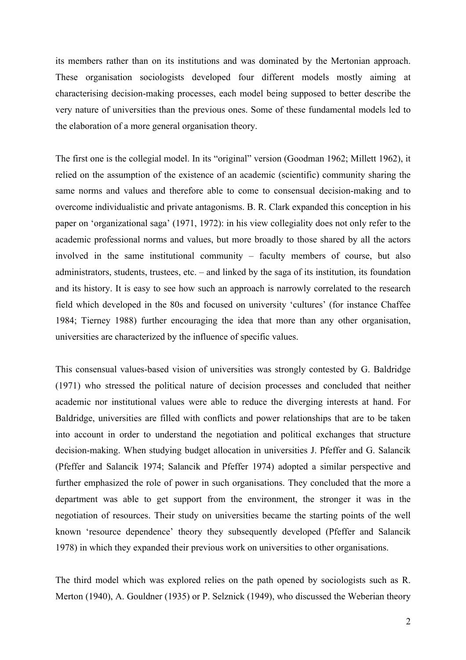its members rather than on its institutions and was dominated by the Mertonian approach. These organisation sociologists developed four different models mostly aiming at characterising decision-making processes, each model being supposed to better describe the very nature of universities than the previous ones. Some of these fundamental models led to the elaboration of a more general organisation theory.

The first one is the collegial model. In its "original" version (Goodman 1962; Millett 1962), it relied on the assumption of the existence of an academic (scientific) community sharing the same norms and values and therefore able to come to consensual decision-making and to overcome individualistic and private antagonisms. B. R. Clark expanded this conception in his paper on 'organizational saga' (1971, 1972): in his view collegiality does not only refer to the academic professional norms and values, but more broadly to those shared by all the actors involved in the same institutional community – faculty members of course, but also administrators, students, trustees, etc. – and linked by the saga of its institution, its foundation and its history. It is easy to see how such an approach is narrowly correlated to the research field which developed in the 80s and focused on university 'cultures' (for instance Chaffee 1984; Tierney 1988) further encouraging the idea that more than any other organisation, universities are characterized by the influence of specific values.

This consensual values-based vision of universities was strongly contested by G. Baldridge (1971) who stressed the political nature of decision processes and concluded that neither academic nor institutional values were able to reduce the diverging interests at hand. For Baldridge, universities are filled with conflicts and power relationships that are to be taken into account in order to understand the negotiation and political exchanges that structure decision-making. When studying budget allocation in universities J. Pfeffer and G. Salancik (Pfeffer and Salancik 1974; Salancik and Pfeffer 1974) adopted a similar perspective and further emphasized the role of power in such organisations. They concluded that the more a department was able to get support from the environment, the stronger it was in the negotiation of resources. Their study on universities became the starting points of the well known 'resource dependence' theory they subsequently developed (Pfeffer and Salancik 1978) in which they expanded their previous work on universities to other organisations.

The third model which was explored relies on the path opened by sociologists such as R. Merton (1940), A. Gouldner (1935) or P. Selznick (1949), who discussed the Weberian theory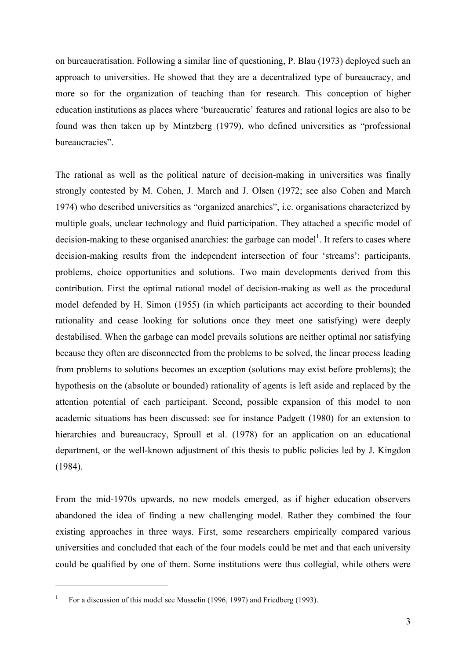on bureaucratisation. Following a similar line of questioning, P. Blau (1973) deployed such an approach to universities. He showed that they are a decentralized type of bureaucracy, and more so for the organization of teaching than for research. This conception of higher education institutions as places where 'bureaucratic' features and rational logics are also to be found was then taken up by Mintzberg (1979), who defined universities as "professional bureaucracies".

The rational as well as the political nature of decision-making in universities was finally strongly contested by M. Cohen, J. March and J. Olsen (1972; see also Cohen and March 1974) who described universities as "organized anarchies", i.e. organisations characterized by multiple goals, unclear technology and fluid participation. They attached a specific model of decision-making to these organised anarchies: the garbage can model<sup>1</sup>. It refers to cases where decision-making results from the independent intersection of four 'streams': participants, problems, choice opportunities and solutions. Two main developments derived from this contribution. First the optimal rational model of decision-making as well as the procedural model defended by H. Simon (1955) (in which participants act according to their bounded rationality and cease looking for solutions once they meet one satisfying) were deeply destabilised. When the garbage can model prevails solutions are neither optimal nor satisfying because they often are disconnected from the problems to be solved, the linear process leading from problems to solutions becomes an exception (solutions may exist before problems); the hypothesis on the (absolute or bounded) rationality of agents is left aside and replaced by the attention potential of each participant. Second, possible expansion of this model to non academic situations has been discussed: see for instance Padgett (1980) for an extension to hierarchies and bureaucracy, Sproull et al. (1978) for an application on an educational department, or the well-known adjustment of this thesis to public policies led by J. Kingdon (1984).

From the mid-1970s upwards, no new models emerged, as if higher education observers abandoned the idea of finding a new challenging model. Rather they combined the four existing approaches in three ways. First, some researchers empirically compared various universities and concluded that each of the four models could be met and that each university could be qualified by one of them. Some institutions were thus collegial, while others were

<sup>1</sup> For a discussion of this model see Musselin (1996, 1997) and Friedberg (1993).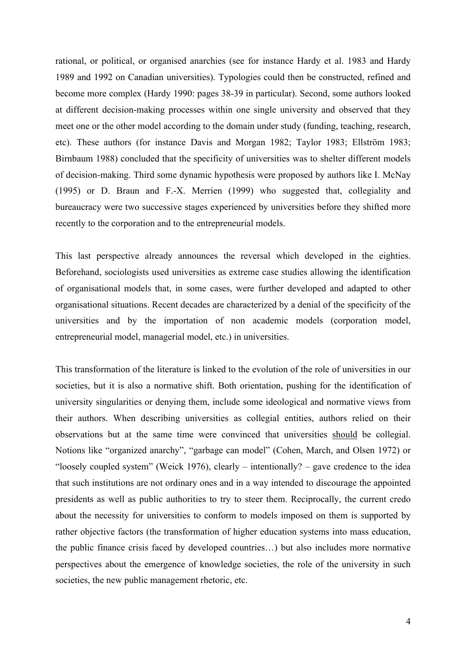rational, or political, or organised anarchies (see for instance Hardy et al. 1983 and Hardy 1989 and 1992 on Canadian universities). Typologies could then be constructed, refined and become more complex (Hardy 1990: pages 38-39 in particular). Second, some authors looked at different decision-making processes within one single university and observed that they meet one or the other model according to the domain under study (funding, teaching, research, etc). These authors (for instance Davis and Morgan 1982; Taylor 1983; Ellström 1983; Birnbaum 1988) concluded that the specificity of universities was to shelter different models of decision-making. Third some dynamic hypothesis were proposed by authors like I. McNay (1995) or D. Braun and F.-X. Merrien (1999) who suggested that, collegiality and bureaucracy were two successive stages experienced by universities before they shifted more recently to the corporation and to the entrepreneurial models.

This last perspective already announces the reversal which developed in the eighties. Beforehand, sociologists used universities as extreme case studies allowing the identification of organisational models that, in some cases, were further developed and adapted to other organisational situations. Recent decades are characterized by a denial of the specificity of the universities and by the importation of non academic models (corporation model, entrepreneurial model, managerial model, etc.) in universities.

This transformation of the literature is linked to the evolution of the role of universities in our societies, but it is also a normative shift. Both orientation, pushing for the identification of university singularities or denying them, include some ideological and normative views from their authors. When describing universities as collegial entities, authors relied on their observations but at the same time were convinced that universities should be collegial. Notions like "organized anarchy", "garbage can model" (Cohen, March, and Olsen 1972) or "loosely coupled system" (Weick 1976), clearly – intentionally? – gave credence to the idea that such institutions are not ordinary ones and in a way intended to discourage the appointed presidents as well as public authorities to try to steer them. Reciprocally, the current credo about the necessity for universities to conform to models imposed on them is supported by rather objective factors (the transformation of higher education systems into mass education, the public finance crisis faced by developed countries…) but also includes more normative perspectives about the emergence of knowledge societies, the role of the university in such societies, the new public management rhetoric, etc.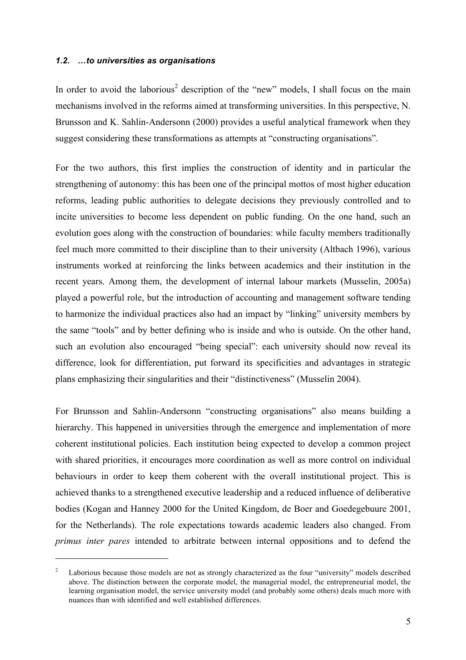#### *1.2. …to universities as organisations*

 $\overline{a}$ 

In order to avoid the laborious<sup>2</sup> description of the "new" models, I shall focus on the main mechanisms involved in the reforms aimed at transforming universities. In this perspective, N. Brunsson and K. Sahlin-Andersonn (2000) provides a useful analytical framework when they suggest considering these transformations as attempts at "constructing organisations".

For the two authors, this first implies the construction of identity and in particular the strengthening of autonomy: this has been one of the principal mottos of most higher education reforms, leading public authorities to delegate decisions they previously controlled and to incite universities to become less dependent on public funding. On the one hand, such an evolution goes along with the construction of boundaries: while faculty members traditionally feel much more committed to their discipline than to their university (Altbach 1996), various instruments worked at reinforcing the links between academics and their institution in the recent years. Among them, the development of internal labour markets (Musselin, 2005a) played a powerful role, but the introduction of accounting and management software tending to harmonize the individual practices also had an impact by "linking" university members by the same "tools" and by better defining who is inside and who is outside. On the other hand, such an evolution also encouraged "being special": each university should now reveal its difference, look for differentiation, put forward its specificities and advantages in strategic plans emphasizing their singularities and their "distinctiveness" (Musselin 2004).

For Brunsson and Sahlin-Andersonn "constructing organisations" also means building a hierarchy. This happened in universities through the emergence and implementation of more coherent institutional policies. Each institution being expected to develop a common project with shared priorities, it encourages more coordination as well as more control on individual behaviours in order to keep them coherent with the overall institutional project. This is achieved thanks to a strengthened executive leadership and a reduced influence of deliberative bodies (Kogan and Hanney 2000 for the United Kingdom, de Boer and Goedegebuure 2001, for the Netherlands). The role expectations towards academic leaders also changed. From *primus inter pares* intended to arbitrate between internal oppositions and to defend the

<sup>2</sup> Laborious because those models are not as strongly characterized as the four "university" models described above. The distinction between the corporate model, the managerial model, the entrepreneurial model, the learning organisation model, the service university model (and probably some others) deals much more with nuances than with identified and well established differences.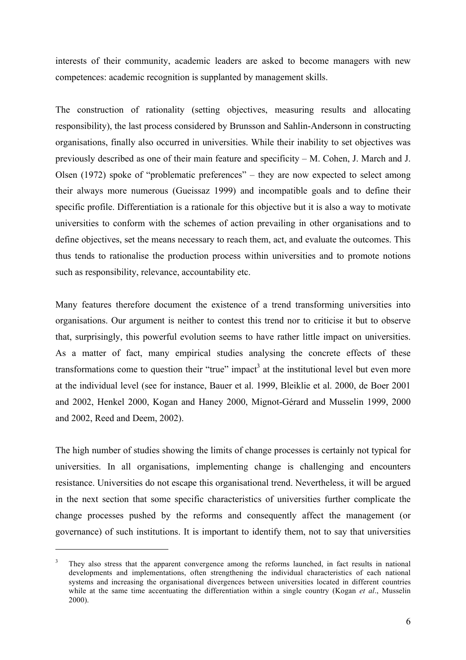interests of their community, academic leaders are asked to become managers with new competences: academic recognition is supplanted by management skills.

The construction of rationality (setting objectives, measuring results and allocating responsibility), the last process considered by Brunsson and Sahlin-Andersonn in constructing organisations, finally also occurred in universities. While their inability to set objectives was previously described as one of their main feature and specificity – M. Cohen, J. March and J. Olsen (1972) spoke of "problematic preferences" – they are now expected to select among their always more numerous (Gueissaz 1999) and incompatible goals and to define their specific profile. Differentiation is a rationale for this objective but it is also a way to motivate universities to conform with the schemes of action prevailing in other organisations and to define objectives, set the means necessary to reach them, act, and evaluate the outcomes. This thus tends to rationalise the production process within universities and to promote notions such as responsibility, relevance, accountability etc.

Many features therefore document the existence of a trend transforming universities into organisations. Our argument is neither to contest this trend nor to criticise it but to observe that, surprisingly, this powerful evolution seems to have rather little impact on universities. As a matter of fact, many empirical studies analysing the concrete effects of these transformations come to question their "true" impact<sup>3</sup> at the institutional level but even more at the individual level (see for instance, Bauer et al. 1999, Bleiklie et al. 2000, de Boer 2001 and 2002, Henkel 2000, Kogan and Haney 2000, Mignot-Gérard and Musselin 1999, 2000 and 2002, Reed and Deem, 2002).

The high number of studies showing the limits of change processes is certainly not typical for universities. In all organisations, implementing change is challenging and encounters resistance. Universities do not escape this organisational trend. Nevertheless, it will be argued in the next section that some specific characteristics of universities further complicate the change processes pushed by the reforms and consequently affect the management (or governance) of such institutions. It is important to identify them, not to say that universities

<sup>3</sup> They also stress that the apparent convergence among the reforms launched, in fact results in national developments and implementations, often strengthening the individual characteristics of each national systems and increasing the organisational divergences between universities located in different countries while at the same time accentuating the differentiation within a single country (Kogan *et al.*, Musselin 2000).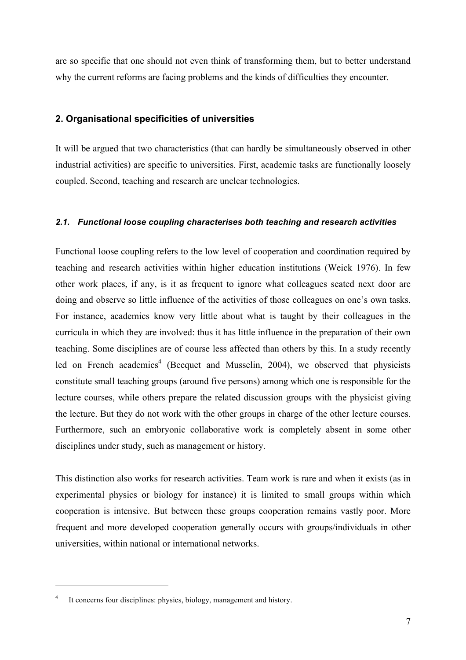are so specific that one should not even think of transforming them, but to better understand why the current reforms are facing problems and the kinds of difficulties they encounter.

### **2. Organisational specificities of universities**

It will be argued that two characteristics (that can hardly be simultaneously observed in other industrial activities) are specific to universities. First, academic tasks are functionally loosely coupled. Second, teaching and research are unclear technologies.

#### *2.1. Functional loose coupling characterises both teaching and research activities*

Functional loose coupling refers to the low level of cooperation and coordination required by teaching and research activities within higher education institutions (Weick 1976). In few other work places, if any, is it as frequent to ignore what colleagues seated next door are doing and observe so little influence of the activities of those colleagues on one's own tasks. For instance, academics know very little about what is taught by their colleagues in the curricula in which they are involved: thus it has little influence in the preparation of their own teaching. Some disciplines are of course less affected than others by this. In a study recently led on French academics<sup>4</sup> (Becquet and Musselin, 2004), we observed that physicists constitute small teaching groups (around five persons) among which one is responsible for the lecture courses, while others prepare the related discussion groups with the physicist giving the lecture. But they do not work with the other groups in charge of the other lecture courses. Furthermore, such an embryonic collaborative work is completely absent in some other disciplines under study, such as management or history.

This distinction also works for research activities. Team work is rare and when it exists (as in experimental physics or biology for instance) it is limited to small groups within which cooperation is intensive. But between these groups cooperation remains vastly poor. More frequent and more developed cooperation generally occurs with groups/individuals in other universities, within national or international networks.

It concerns four disciplines: physics, biology, management and history.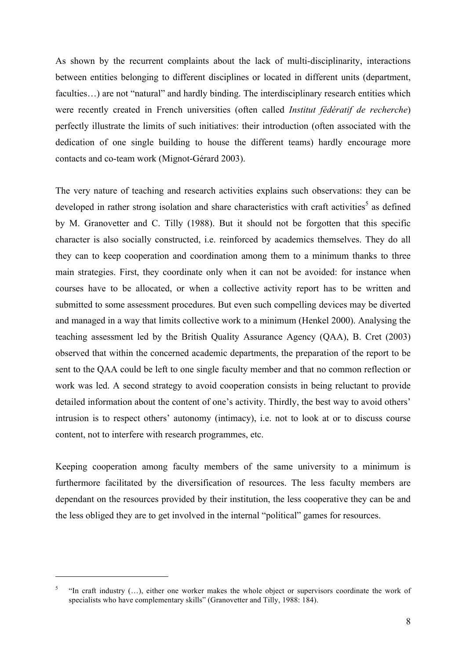As shown by the recurrent complaints about the lack of multi-disciplinarity, interactions between entities belonging to different disciplines or located in different units (department, faculties...) are not "natural" and hardly binding. The interdisciplinary research entities which were recently created in French universities (often called *Institut fédératif de recherche*) perfectly illustrate the limits of such initiatives: their introduction (often associated with the dedication of one single building to house the different teams) hardly encourage more contacts and co-team work (Mignot-Gérard 2003).

The very nature of teaching and research activities explains such observations: they can be developed in rather strong isolation and share characteristics with craft activities<sup>5</sup> as defined by M. Granovetter and C. Tilly (1988). But it should not be forgotten that this specific character is also socially constructed, i.e. reinforced by academics themselves. They do all they can to keep cooperation and coordination among them to a minimum thanks to three main strategies. First, they coordinate only when it can not be avoided: for instance when courses have to be allocated, or when a collective activity report has to be written and submitted to some assessment procedures. But even such compelling devices may be diverted and managed in a way that limits collective work to a minimum (Henkel 2000). Analysing the teaching assessment led by the British Quality Assurance Agency (QAA), B. Cret (2003) observed that within the concerned academic departments, the preparation of the report to be sent to the QAA could be left to one single faculty member and that no common reflection or work was led. A second strategy to avoid cooperation consists in being reluctant to provide detailed information about the content of one's activity. Thirdly, the best way to avoid others' intrusion is to respect others' autonomy (intimacy), i.e. not to look at or to discuss course content, not to interfere with research programmes, etc.

Keeping cooperation among faculty members of the same university to a minimum is furthermore facilitated by the diversification of resources. The less faculty members are dependant on the resources provided by their institution, the less cooperative they can be and the less obliged they are to get involved in the internal "political" games for resources.

<sup>5</sup> "In craft industry (…), either one worker makes the whole object or supervisors coordinate the work of specialists who have complementary skills" (Granovetter and Tilly, 1988: 184).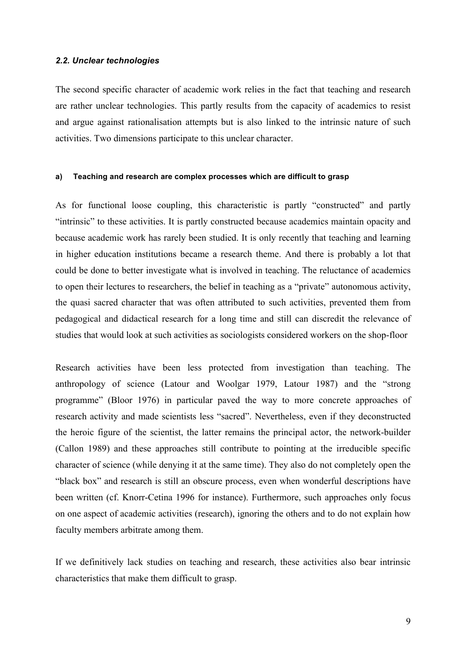#### *2.2. Unclear technologies*

The second specific character of academic work relies in the fact that teaching and research are rather unclear technologies. This partly results from the capacity of academics to resist and argue against rationalisation attempts but is also linked to the intrinsic nature of such activities. Two dimensions participate to this unclear character.

#### **a) Teaching and research are complex processes which are difficult to grasp**

As for functional loose coupling, this characteristic is partly "constructed" and partly "intrinsic" to these activities. It is partly constructed because academics maintain opacity and because academic work has rarely been studied. It is only recently that teaching and learning in higher education institutions became a research theme. And there is probably a lot that could be done to better investigate what is involved in teaching. The reluctance of academics to open their lectures to researchers, the belief in teaching as a "private" autonomous activity, the quasi sacred character that was often attributed to such activities, prevented them from pedagogical and didactical research for a long time and still can discredit the relevance of studies that would look at such activities as sociologists considered workers on the shop-floor

Research activities have been less protected from investigation than teaching. The anthropology of science (Latour and Woolgar 1979, Latour 1987) and the "strong programme" (Bloor 1976) in particular paved the way to more concrete approaches of research activity and made scientists less "sacred". Nevertheless, even if they deconstructed the heroic figure of the scientist, the latter remains the principal actor, the network-builder (Callon 1989) and these approaches still contribute to pointing at the irreducible specific character of science (while denying it at the same time). They also do not completely open the "black box" and research is still an obscure process, even when wonderful descriptions have been written (cf. Knorr-Cetina 1996 for instance). Furthermore, such approaches only focus on one aspect of academic activities (research), ignoring the others and to do not explain how faculty members arbitrate among them.

If we definitively lack studies on teaching and research, these activities also bear intrinsic characteristics that make them difficult to grasp.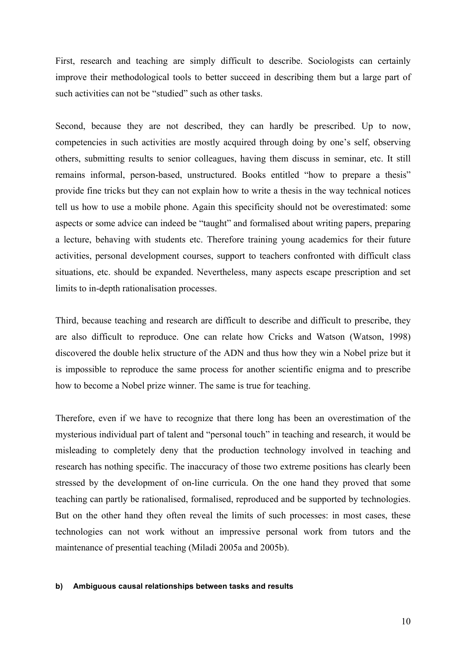First, research and teaching are simply difficult to describe. Sociologists can certainly improve their methodological tools to better succeed in describing them but a large part of such activities can not be "studied" such as other tasks.

Second, because they are not described, they can hardly be prescribed. Up to now, competencies in such activities are mostly acquired through doing by one's self, observing others, submitting results to senior colleagues, having them discuss in seminar, etc. It still remains informal, person-based, unstructured. Books entitled "how to prepare a thesis" provide fine tricks but they can not explain how to write a thesis in the way technical notices tell us how to use a mobile phone. Again this specificity should not be overestimated: some aspects or some advice can indeed be "taught" and formalised about writing papers, preparing a lecture, behaving with students etc. Therefore training young academics for their future activities, personal development courses, support to teachers confronted with difficult class situations, etc. should be expanded. Nevertheless, many aspects escape prescription and set limits to in-depth rationalisation processes.

Third, because teaching and research are difficult to describe and difficult to prescribe, they are also difficult to reproduce. One can relate how Cricks and Watson (Watson, 1998) discovered the double helix structure of the ADN and thus how they win a Nobel prize but it is impossible to reproduce the same process for another scientific enigma and to prescribe how to become a Nobel prize winner. The same is true for teaching.

Therefore, even if we have to recognize that there long has been an overestimation of the mysterious individual part of talent and "personal touch" in teaching and research, it would be misleading to completely deny that the production technology involved in teaching and research has nothing specific. The inaccuracy of those two extreme positions has clearly been stressed by the development of on-line curricula. On the one hand they proved that some teaching can partly be rationalised, formalised, reproduced and be supported by technologies. But on the other hand they often reveal the limits of such processes: in most cases, these technologies can not work without an impressive personal work from tutors and the maintenance of presential teaching (Miladi 2005a and 2005b).

#### **b) Ambiguous causal relationships between tasks and results**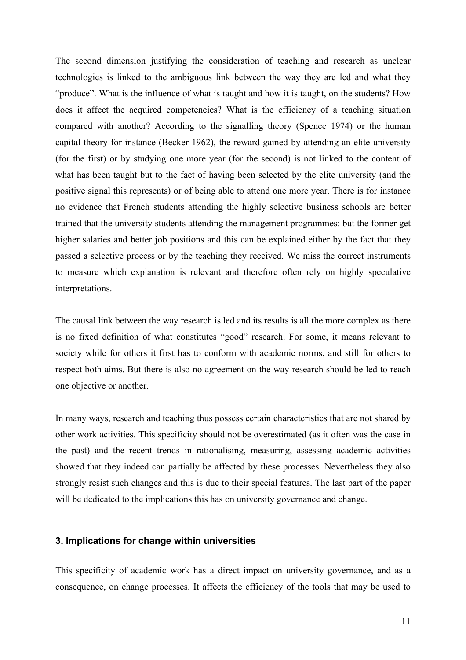The second dimension justifying the consideration of teaching and research as unclear technologies is linked to the ambiguous link between the way they are led and what they "produce". What is the influence of what is taught and how it is taught, on the students? How does it affect the acquired competencies? What is the efficiency of a teaching situation compared with another? According to the signalling theory (Spence 1974) or the human capital theory for instance (Becker 1962), the reward gained by attending an elite university (for the first) or by studying one more year (for the second) is not linked to the content of what has been taught but to the fact of having been selected by the elite university (and the positive signal this represents) or of being able to attend one more year. There is for instance no evidence that French students attending the highly selective business schools are better trained that the university students attending the management programmes: but the former get higher salaries and better job positions and this can be explained either by the fact that they passed a selective process or by the teaching they received. We miss the correct instruments to measure which explanation is relevant and therefore often rely on highly speculative interpretations.

The causal link between the way research is led and its results is all the more complex as there is no fixed definition of what constitutes "good" research. For some, it means relevant to society while for others it first has to conform with academic norms, and still for others to respect both aims. But there is also no agreement on the way research should be led to reach one objective or another.

In many ways, research and teaching thus possess certain characteristics that are not shared by other work activities. This specificity should not be overestimated (as it often was the case in the past) and the recent trends in rationalising, measuring, assessing academic activities showed that they indeed can partially be affected by these processes. Nevertheless they also strongly resist such changes and this is due to their special features. The last part of the paper will be dedicated to the implications this has on university governance and change.

#### **3. Implications for change within universities**

This specificity of academic work has a direct impact on university governance, and as a consequence, on change processes. It affects the efficiency of the tools that may be used to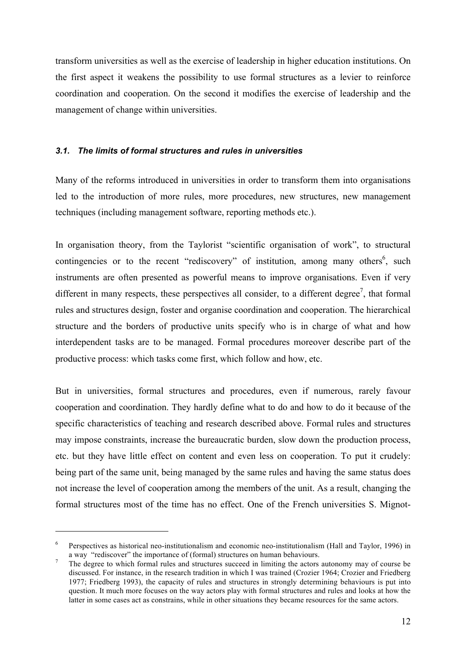transform universities as well as the exercise of leadership in higher education institutions. On the first aspect it weakens the possibility to use formal structures as a levier to reinforce coordination and cooperation. On the second it modifies the exercise of leadership and the management of change within universities.

#### *3.1. The limits of formal structures and rules in universities*

Many of the reforms introduced in universities in order to transform them into organisations led to the introduction of more rules, more procedures, new structures, new management techniques (including management software, reporting methods etc.).

In organisation theory, from the Taylorist "scientific organisation of work", to structural contingencies or to the recent "rediscovery" of institution, among many others<sup>6</sup>, such instruments are often presented as powerful means to improve organisations. Even if very different in many respects, these perspectives all consider, to a different degree<sup>7</sup>, that formal rules and structures design, foster and organise coordination and cooperation. The hierarchical structure and the borders of productive units specify who is in charge of what and how interdependent tasks are to be managed. Formal procedures moreover describe part of the productive process: which tasks come first, which follow and how, etc.

But in universities, formal structures and procedures, even if numerous, rarely favour cooperation and coordination. They hardly define what to do and how to do it because of the specific characteristics of teaching and research described above. Formal rules and structures may impose constraints, increase the bureaucratic burden, slow down the production process, etc. but they have little effect on content and even less on cooperation. To put it crudely: being part of the same unit, being managed by the same rules and having the same status does not increase the level of cooperation among the members of the unit. As a result, changing the formal structures most of the time has no effect. One of the French universities S. Mignot-

<sup>6</sup> Perspectives as historical neo-institutionalism and economic neo-institutionalism (Hall and Taylor, 1996) in a way "rediscover" the importance of (formal) structures on human behaviours.<br>The degree to which formal rules and structures succeed in limiting the actors autonomy may of course be

discussed. For instance, in the research tradition in which I was trained (Crozier 1964; Crozier and Friedberg 1977; Friedberg 1993), the capacity of rules and structures in strongly determining behaviours is put into question. It much more focuses on the way actors play with formal structures and rules and looks at how the latter in some cases act as constrains, while in other situations they became resources for the same actors.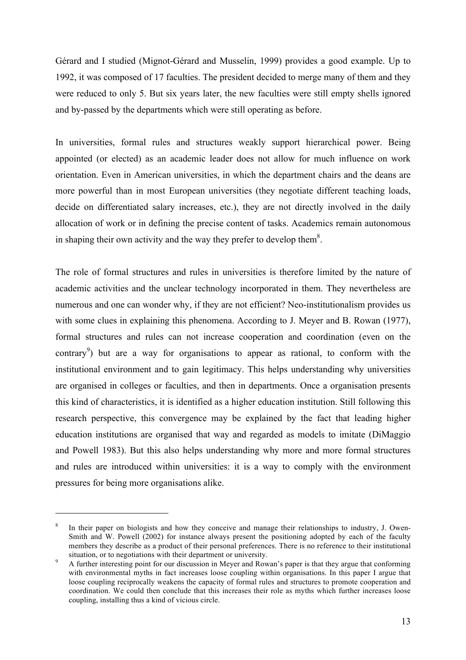Gérard and I studied (Mignot-Gérard and Musselin, 1999) provides a good example. Up to 1992, it was composed of 17 faculties. The president decided to merge many of them and they were reduced to only 5. But six years later, the new faculties were still empty shells ignored and by-passed by the departments which were still operating as before.

In universities, formal rules and structures weakly support hierarchical power. Being appointed (or elected) as an academic leader does not allow for much influence on work orientation. Even in American universities, in which the department chairs and the deans are more powerful than in most European universities (they negotiate different teaching loads, decide on differentiated salary increases, etc.), they are not directly involved in the daily allocation of work or in defining the precise content of tasks. Academics remain autonomous in shaping their own activity and the way they prefer to develop them<sup>8</sup>.

The role of formal structures and rules in universities is therefore limited by the nature of academic activities and the unclear technology incorporated in them. They nevertheless are numerous and one can wonder why, if they are not efficient? Neo-institutionalism provides us with some clues in explaining this phenomena. According to J. Meyer and B. Rowan (1977), formal structures and rules can not increase cooperation and coordination (even on the contrary<sup>9</sup>) but are a way for organisations to appear as rational, to conform with the institutional environment and to gain legitimacy. This helps understanding why universities are organised in colleges or faculties, and then in departments. Once a organisation presents this kind of characteristics, it is identified as a higher education institution. Still following this research perspective, this convergence may be explained by the fact that leading higher education institutions are organised that way and regarded as models to imitate (DiMaggio and Powell 1983). But this also helps understanding why more and more formal structures and rules are introduced within universities: it is a way to comply with the environment pressures for being more organisations alike.

In their paper on biologists and how they conceive and manage their relationships to industry, J. Owen-Smith and W. Powell (2002) for instance always present the positioning adopted by each of the faculty members they describe as a product of their personal preferences. There is no reference to their institutional situation, or to negotiations with their department or university.<br>A further interesting point for our discussion in Meyer and Rowan's paper is that they argue that conforming

with environmental myths in fact increases loose coupling within organisations. In this paper I argue that loose coupling reciprocally weakens the capacity of formal rules and structures to promote cooperation and coordination. We could then conclude that this increases their role as myths which further increases loose coupling, installing thus a kind of vicious circle.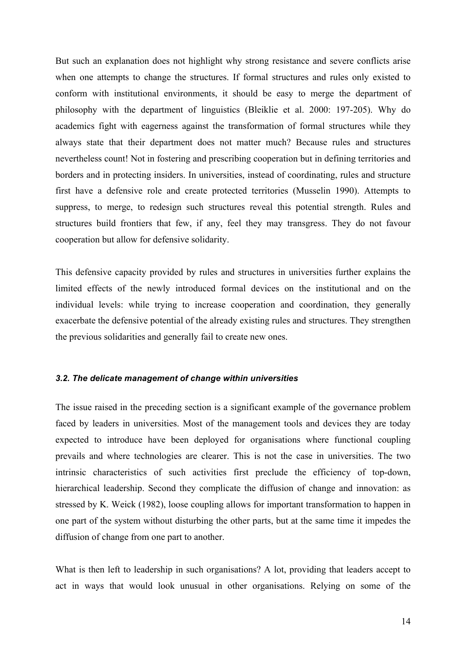But such an explanation does not highlight why strong resistance and severe conflicts arise when one attempts to change the structures. If formal structures and rules only existed to conform with institutional environments, it should be easy to merge the department of philosophy with the department of linguistics (Bleiklie et al. 2000: 197-205). Why do academics fight with eagerness against the transformation of formal structures while they always state that their department does not matter much? Because rules and structures nevertheless count! Not in fostering and prescribing cooperation but in defining territories and borders and in protecting insiders. In universities, instead of coordinating, rules and structure first have a defensive role and create protected territories (Musselin 1990). Attempts to suppress, to merge, to redesign such structures reveal this potential strength. Rules and structures build frontiers that few, if any, feel they may transgress. They do not favour cooperation but allow for defensive solidarity.

This defensive capacity provided by rules and structures in universities further explains the limited effects of the newly introduced formal devices on the institutional and on the individual levels: while trying to increase cooperation and coordination, they generally exacerbate the defensive potential of the already existing rules and structures. They strengthen the previous solidarities and generally fail to create new ones.

#### *3.2. The delicate management of change within universities*

The issue raised in the preceding section is a significant example of the governance problem faced by leaders in universities. Most of the management tools and devices they are today expected to introduce have been deployed for organisations where functional coupling prevails and where technologies are clearer. This is not the case in universities. The two intrinsic characteristics of such activities first preclude the efficiency of top-down, hierarchical leadership. Second they complicate the diffusion of change and innovation: as stressed by K. Weick (1982), loose coupling allows for important transformation to happen in one part of the system without disturbing the other parts, but at the same time it impedes the diffusion of change from one part to another.

What is then left to leadership in such organisations? A lot, providing that leaders accept to act in ways that would look unusual in other organisations. Relying on some of the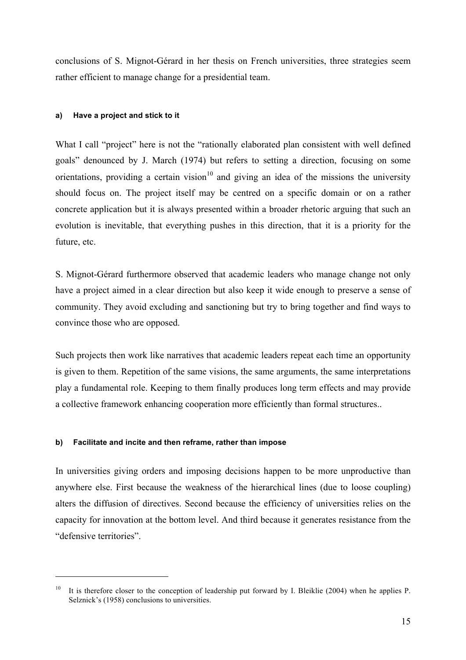conclusions of S. Mignot-Gérard in her thesis on French universities, three strategies seem rather efficient to manage change for a presidential team.

#### **a) Have a project and stick to it**

What I call "project" here is not the "rationally elaborated plan consistent with well defined goals" denounced by J. March (1974) but refers to setting a direction, focusing on some orientations, providing a certain vision<sup>10</sup> and giving an idea of the missions the university should focus on. The project itself may be centred on a specific domain or on a rather concrete application but it is always presented within a broader rhetoric arguing that such an evolution is inevitable, that everything pushes in this direction, that it is a priority for the future, etc.

S. Mignot-Gérard furthermore observed that academic leaders who manage change not only have a project aimed in a clear direction but also keep it wide enough to preserve a sense of community. They avoid excluding and sanctioning but try to bring together and find ways to convince those who are opposed.

Such projects then work like narratives that academic leaders repeat each time an opportunity is given to them. Repetition of the same visions, the same arguments, the same interpretations play a fundamental role. Keeping to them finally produces long term effects and may provide a collective framework enhancing cooperation more efficiently than formal structures..

### **b) Facilitate and incite and then reframe, rather than impose**

 $\overline{a}$ 

In universities giving orders and imposing decisions happen to be more unproductive than anywhere else. First because the weakness of the hierarchical lines (due to loose coupling) alters the diffusion of directives. Second because the efficiency of universities relies on the capacity for innovation at the bottom level. And third because it generates resistance from the "defensive territories".

<sup>&</sup>lt;sup>10</sup> It is therefore closer to the conception of leadership put forward by I. Bleiklie (2004) when he applies P. Selznick's (1958) conclusions to universities.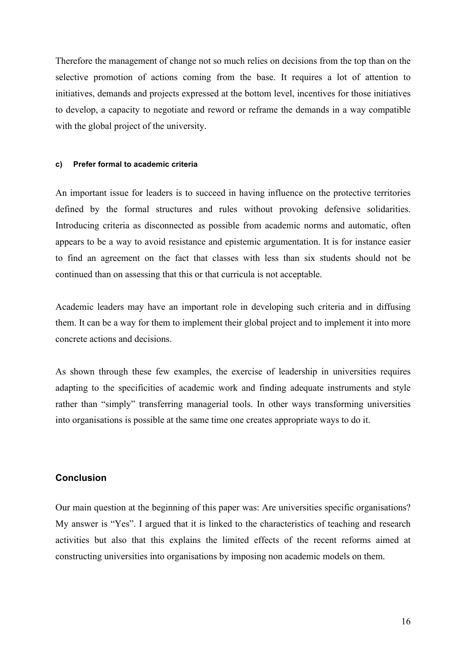Therefore the management of change not so much relies on decisions from the top than on the selective promotion of actions coming from the base. It requires a lot of attention to initiatives, demands and projects expressed at the bottom level, incentives for those initiatives to develop, a capacity to negotiate and reword or reframe the demands in a way compatible with the global project of the university.

#### **c) Prefer formal to academic criteria**

An important issue for leaders is to succeed in having influence on the protective territories defined by the formal structures and rules without provoking defensive solidarities. Introducing criteria as disconnected as possible from academic norms and automatic, often appears to be a way to avoid resistance and epistemic argumentation. It is for instance easier to find an agreement on the fact that classes with less than six students should not be continued than on assessing that this or that curricula is not acceptable.

Academic leaders may have an important role in developing such criteria and in diffusing them. It can be a way for them to implement their global project and to implement it into more concrete actions and decisions.

As shown through these few examples, the exercise of leadership in universities requires adapting to the specificities of academic work and finding adequate instruments and style rather than "simply" transferring managerial tools. In other ways transforming universities into organisations is possible at the same time one creates appropriate ways to do it.

#### **Conclusion**

Our main question at the beginning of this paper was: Are universities specific organisations? My answer is "Yes". I argued that it is linked to the characteristics of teaching and research activities but also that this explains the limited effects of the recent reforms aimed at constructing universities into organisations by imposing non academic models on them.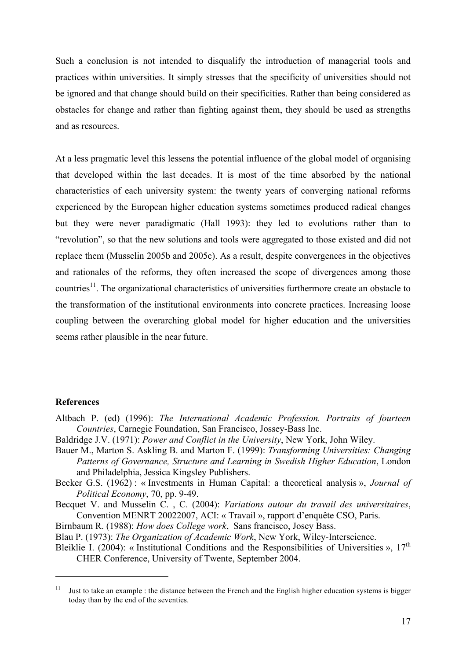Such a conclusion is not intended to disqualify the introduction of managerial tools and practices within universities. It simply stresses that the specificity of universities should not be ignored and that change should build on their specificities. Rather than being considered as obstacles for change and rather than fighting against them, they should be used as strengths and as resources.

At a less pragmatic level this lessens the potential influence of the global model of organising that developed within the last decades. It is most of the time absorbed by the national characteristics of each university system: the twenty years of converging national reforms experienced by the European higher education systems sometimes produced radical changes but they were never paradigmatic (Hall 1993): they led to evolutions rather than to "revolution", so that the new solutions and tools were aggregated to those existed and did not replace them (Musselin 2005b and 2005c). As a result, despite convergences in the objectives and rationales of the reforms, they often increased the scope of divergences among those countries<sup>11</sup>. The organizational characteristics of universities furthermore create an obstacle to the transformation of the institutional environments into concrete practices. Increasing loose coupling between the overarching global model for higher education and the universities seems rather plausible in the near future.

#### **References**

 $\overline{a}$ 

- Altbach P. (ed) (1996): *The International Academic Profession. Portraits of fourteen Countries*, Carnegie Foundation, San Francisco, Jossey-Bass Inc.
- Baldridge J.V. (1971): *Power and Conflict in the University*, New York, John Wiley.
- Bauer M., Marton S. Askling B. and Marton F. (1999): *Transforming Universities: Changing Patterns of Governance, Structure and Learning in Swedish Higher Education*, London and Philadelphia, Jessica Kingsley Publishers.
- Becker G.S. (1962) : « Investments in Human Capital: a theoretical analysis », *Journal of Political Economy*, 70, pp. 9-49.

Becquet V. and Musselin C. , C. (2004): *Variations autour du travail des universitaires*, Convention MENRT 20022007, ACI: « Travail », rapport d'enquête CSO, Paris.

- Birnbaum R. (1988): *How does College work*, Sans francisco, Josey Bass.
- Blau P. (1973): *The Organization of Academic Work*, New York, Wiley-Interscience.
- Bleiklie I. (2004): « Institutional Conditions and the Responsibilities of Universities »,  $17<sup>th</sup>$ CHER Conference, University of Twente, September 2004.

<sup>&</sup>lt;sup>11</sup> Just to take an example : the distance between the French and the English higher education systems is bigger today than by the end of the seventies.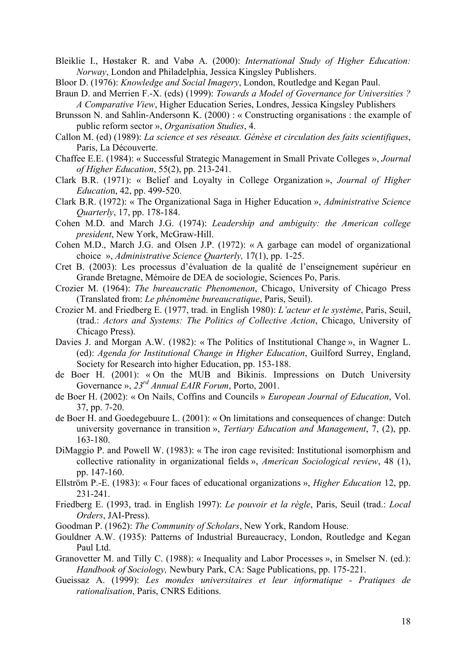- Bleiklie I., Høstaker R. and Vabø A. (2000): *International Study of Higher Education: Norway*, London and Philadelphia, Jessica Kingsley Publishers.
- Bloor D. (1976): *Knowledge and Social Imagery*, London, Routledge and Kegan Paul.
- Braun D. and Merrien F.-X. (eds) (1999): *Towards a Model of Governance for Universities ? A Comparative View*, Higher Education Series, Londres, Jessica Kingsley Publishers
- Brunsson N. and Sahlin-Andersonn K. (2000) : « Constructing organisations : the example of public reform sector », *Organisation Studies*, 4.
- Callon M. (ed) (1989): *La science et ses réseaux. Génèse et circulation des faits scientifiques*, Paris, La Découverte.
- Chaffee E.E. (1984): « Successful Strategic Management in Small Private Colleges », *Journal of Higher Education*, 55(2), pp. 213-241.
- Clark B.R. (1971): « Belief and Loyalty in College Organization », *Journal of Higher Educatio*n, 42, pp. 499-520.
- Clark B.R. (1972): « The Organizational Saga in Higher Education », *Administrative Science Quarterly*, 17, pp. 178-184.
- Cohen M.D. and March J.G. (1974): *Leadership and ambiguity: the American college president*, New York, McGraw-Hill.
- Cohen M.D., March J.G. and Olsen J.P. (1972): « A garbage can model of organizational choice », *Administrative Science Quarterly,* 17(1), pp. 1-25.
- Cret B. (2003): Les processus d'évaluation de la qualité de l'enseignement supérieur en Grande Bretagne, Mémoire de DEA de sociologie, Sciences Po, Paris.
- Crozier M. (1964): *The bureaucratic Phenomenon*, Chicago, University of Chicago Press (Translated from: *Le phénomène bureaucratique*, Paris, Seuil).
- Crozier M. and Friedberg E. (1977, trad. in English 1980): *L'acteur et le système*, Paris, Seuil, (trad.: *Actors and Systems: The Politics of Collective Action*, Chicago, University of Chicago Press).
- Davies J. and Morgan A.W. (1982): « The Politics of Institutional Change », in Wagner L. (ed): *Agenda for Institutional Change in Higher Education*, Guilford Surrey, England, Society for Research into higher Education, pp. 153-188.
- de Boer H. (2001): « On the MUB and Bikinis. Impressions on Dutch University Governance », *23rd Annual EAIR Forum*, Porto, 2001.
- de Boer H. (2002): « On Nails, Coffins and Councils » *European Journal of Education*, Vol. 37, pp. 7-20.
- de Boer H. and Goedegebuure L. (2001): « On limitations and consequences of change: Dutch university governance in transition », *Tertiary Education and Management*, 7, (2), pp. 163-180.
- DiMaggio P. and Powell W. (1983): « The iron cage revisited: Institutional isomorphism and collective rationality in organizational fields », *American Sociological review*, 48 (1), pp. 147-160.
- Ellström P.-E. (1983): « Four faces of educational organizations », *Higher Education* 12, pp. 231-241.
- Friedberg E. (1993, trad. in English 1997): *Le pouvoir et la règle*, Paris, Seuil (trad.: *Local Orders*, JAI-Press).
- Goodman P. (1962): *The Community of Scholars*, New York, Random House.
- Gouldner A.W. (1935): Patterns of Industrial Bureaucracy, London, Routledge and Kegan Paul Ltd.
- Granovetter M. and Tilly C. (1988): « Inequality and Labor Processes », in Smelser N. (ed.): *Handbook of Sociology,* Newbury Park, CA: Sage Publications, pp. 175-221.
- Gueissaz A. (1999): *Les mondes universitaires et leur informatique - Pratiques de rationalisation*, Paris, CNRS Editions.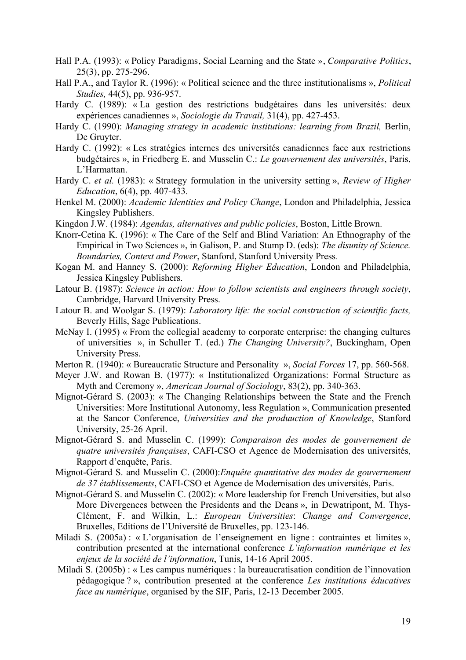- Hall P.A. (1993): « Policy Paradigms, Social Learning and the State », *Comparative Politics*, 25(3), pp. 275-296.
- Hall P.A., and Taylor R. (1996): « Political science and the three institutionalisms », *Political Studies,* 44(5), pp. 936-957.
- Hardy C. (1989): « La gestion des restrictions budgétaires dans les universités: deux expériences canadiennes », *Sociologie du Travail,* 31(4), pp. 427-453.
- Hardy C. (1990): *Managing strategy in academic institutions: learning from Brazil,* Berlin, De Gruyter.
- Hardy C. (1992): « Les stratégies internes des universités canadiennes face aux restrictions budgétaires », in Friedberg E. and Musselin C.: *Le gouvernement des universités*, Paris, L'Harmattan.
- Hardy C. *et al.* (1983): « Strategy formulation in the university setting », *Review of Higher Education*, 6(4), pp. 407-433.
- Henkel M. (2000): *Academic Identities and Policy Change*, London and Philadelphia, Jessica Kingsley Publishers.
- Kingdon J.W. (1984): *Agendas, alternatives and public policies*, Boston, Little Brown.
- Knorr-Cetina K. (1996): « The Care of the Self and Blind Variation: An Ethnography of the Empirical in Two Sciences », in Galison, P. and Stump D. (eds): *The disunity of Science. Boundaries, Context and Power*, Stanford, Stanford University Press*.*
- Kogan M. and Hanney S. (2000): *Reforming Higher Education*, London and Philadelphia, Jessica Kingsley Publishers.
- Latour B. (1987): *Science in action: How to follow scientists and engineers through society*, Cambridge, Harvard University Press.
- Latour B. and Woolgar S. (1979): *Laboratory life: the social construction of scientific facts,* Beverly Hills, Sage Publications.
- McNay I. (1995) « From the collegial academy to corporate enterprise: the changing cultures of universities », in Schuller T. (ed.) *The Changing University?*, Buckingham, Open University Press.
- Merton R. (1940): « Bureaucratic Structure and Personality », *Social Forces* 17, pp. 560-568.
- Meyer J.W. and Rowan B. (1977): « Institutionalized Organizations: Formal Structure as Myth and Ceremony », *American Journal of Sociology*, 83(2), pp. 340-363.
- Mignot-Gérard S. (2003): « The Changing Relationships between the State and the French Universities: More Institutional Autonomy, less Regulation », Communication presented at the Sancor Conference, *Universities and the produuction of Knowledge*, Stanford University, 25-26 April.
- Mignot-Gérard S. and Musselin C. (1999): *Comparaison des modes de gouvernement de quatre universités françaises*, CAFI-CSO et Agence de Modernisation des universités, Rapport d'enquête, Paris.
- Mignot-Gérard S. and Musselin C. (2000):*Enquête quantitative des modes de gouvernement de 37 établissements*, CAFI-CSO et Agence de Modernisation des universités, Paris.
- Mignot-Gérard S. and Musselin C. (2002): « More leadership for French Universities, but also More Divergences between the Presidents and the Deans », in Dewatripont, M. Thys-Clément, F. and Wilkin, L.: *European Universities*: *Change and Convergence*, Bruxelles, Editions de l'Université de Bruxelles, pp. 123-146.
- Miladi S. (2005a) : « L'organisation de l'enseignement en ligne : contraintes et limites », contribution presented at the international conference *L'information numérique et les enjeux de la société de l'information*, Tunis, 14-16 April 2005.
- Miladi S. (2005b) : « Les campus numériques : la bureaucratisation condition de l'innovation pédagogique ? », contribution presented at the conference *Les institutions éducatives face au numérique*, organised by the SIF, Paris, 12-13 December 2005.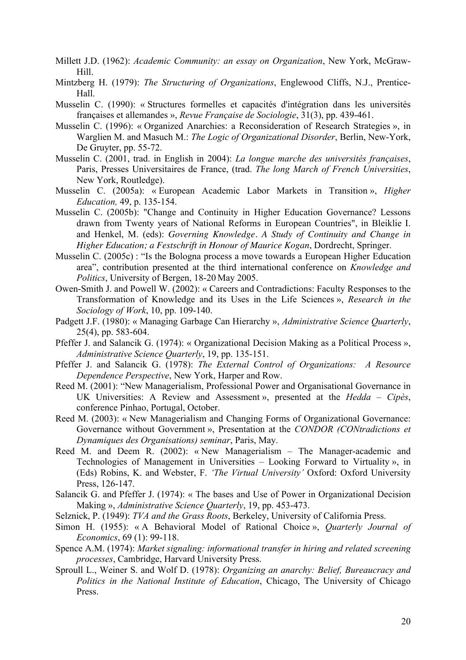- Millett J.D. (1962): *Academic Community: an essay on Organization*, New York, McGraw-Hill.
- Mintzberg H. (1979): *The Structuring of Organizations*, Englewood Cliffs, N.J., Prentice-Hall.
- Musselin C. (1990): « Structures formelles et capacités d'intégration dans les universités françaises et allemandes », *Revue Française de Sociologie*, 31(3), pp. 439-461.
- Musselin C. (1996): « Organized Anarchies: a Reconsideration of Research Strategies », in Warglien M. and Masuch M.: *The Logic of Organizational Disorder*, Berlin, New-York, De Gruyter, pp. 55-72.
- Musselin C. (2001, trad. in English in 2004): *La longue marche des universités françaises*, Paris, Presses Universitaires de France, (trad. *The long March of French Universities*, New York, Routledge).
- Musselin C. (2005a): « European Academic Labor Markets in Transition », *Higher Education,* 49, p. 135-154.
- Musselin C. (2005b): "Change and Continuity in Higher Education Governance? Lessons drawn from Twenty years of National Reforms in European Countries", in Bleiklie I. and Henkel, M. (eds): *Governing Knowledge. A Study of Continuity and Change in Higher Education; a Festschrift in Honour of Maurice Kogan*, Dordrecht, Springer.
- Musselin C. (2005c) : "Is the Bologna process a move towards a European Higher Education area", contribution presented at the third international conference on *Knowledge and Politics*, University of Bergen, 18-20 May 2005.
- Owen-Smith J. and Powell W. (2002): « Careers and Contradictions: Faculty Responses to the Transformation of Knowledge and its Uses in the Life Sciences », *Research in the Sociology of Work*, 10, pp. 109-140.
- Padgett J.F. (1980): « Managing Garbage Can Hierarchy », *Administrative Science Quarterly*, 25(4), pp. 583-604.
- Pfeffer J. and Salancik G. (1974): « Organizational Decision Making as a Political Process », *Administrative Science Quarterly*, 19, pp. 135-151.
- Pfeffer J. and Salancik G. (1978): *The External Control of Organizations: A Resource Dependence Perspective*, New York, Harper and Row.
- Reed M. (2001): "New Managerialism, Professional Power and Organisational Governance in UK Universities: A Review and Assessment », presented at the *Hedda – Cipès*, conference Pinhao, Portugal, October.
- Reed M. (2003): « New Managerialism and Changing Forms of Organizational Governance: Governance without Government », Presentation at the *CONDOR (CONtradictions et Dynamiques des Organisations) seminar*, Paris, May.
- Reed M. and Deem R. (2002): « New Managerialism The Manager-academic and Technologies of Management in Universities – Looking Forward to Virtuality », in (Eds) Robins, K. and Webster, F. *'The Virtual University'* Oxford: Oxford University Press, 126-147.
- Salancik G. and Pfeffer J. (1974): « The bases and Use of Power in Organizational Decision Making », *Administrative Science Quarterly*, 19, pp. 453-473.
- Selznick, P. (1949): *TVA and the Grass Roots*, Berkeley, University of California Press.
- Simon H. (1955): « A Behavioral Model of Rational Choice », *Quarterly Journal of Economics*, 69 (1): 99-118.
- Spence A.M. (1974): *Market signaling: informational transfer in hiring and related screening processes*, Cambridge, Harvard University Press.
- Sproull L., Weiner S. and Wolf D. (1978): *Organizing an anarchy: Belief, Bureaucracy and Politics in the National Institute of Education*, Chicago, The University of Chicago Press.